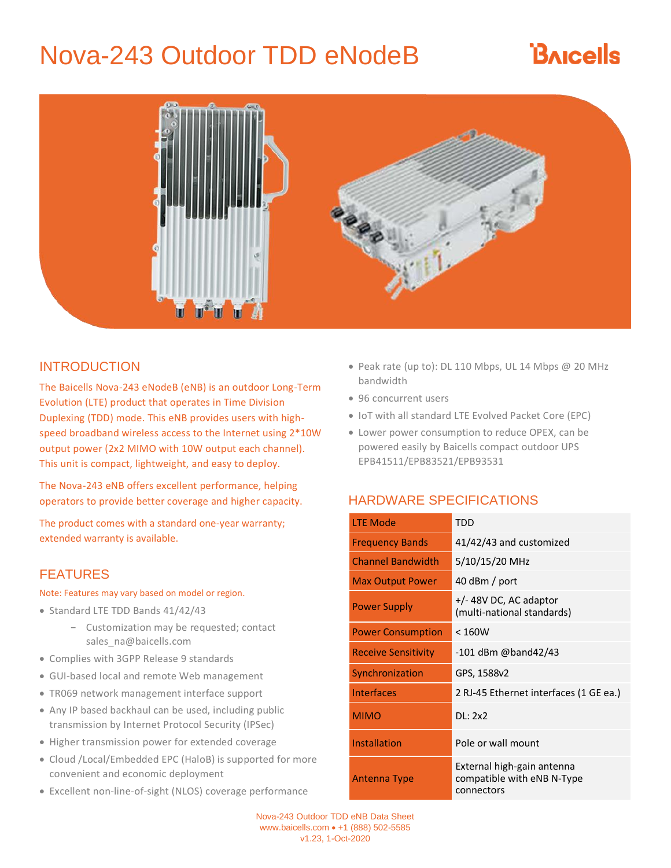# Nova-243 Outdoor TDD eNodeB

# **BAICELS**



### INTRODUCTION

The Baicells Nova-243 eNodeB (eNB) is an outdoor Long-Term Evolution (LTE) product that operates in Time Division Duplexing (TDD) mode. This eNB provides users with highspeed broadband wireless access to the Internet using 2\*10W output power (2x2 MIMO with 10W output each channel). This unit is compact, lightweight, and easy to deploy.

The Nova-243 eNB offers excellent performance, helping operators to provide better coverage and higher capacity.

The product comes with a standard one-year warranty; extended warranty is available.

### FEATURES

#### Note: Features may vary based on model or region.

- Standard LTE TDD Bands 41/42/43
	- − Customization may be requested; contact sales\_na@baicells.com
- Complies with 3GPP Release 9 standards
- GUI-based local and remote Web management
- TR069 network management interface support
- Any IP based backhaul can be used, including public transmission by Internet Protocol Security (IPSec)
- Higher transmission power for extended coverage
- Cloud /Local/Embedded EPC (HaloB) is supported for more convenient and economic deployment
- Excellent non-line-of-sight (NLOS) coverage performance
- Peak rate (up to): DL 110 Mbps, UL 14 Mbps @ 20 MHz bandwidth
- 96 concurrent users
- IoT with all standard LTE Evolved Packet Core (EPC)
- Lower power consumption to reduce OPEX, can be powered easily by Baicells compact outdoor UPS EPB41511/EPB83521/EPB93531

## HARDWARE SPECIFICATIONS

| <b>LTE Mode</b>            | TDD                                                                    |
|----------------------------|------------------------------------------------------------------------|
| <b>Frequency Bands</b>     | 41/42/43 and customized                                                |
| <b>Channel Bandwidth</b>   | 5/10/15/20 MHz                                                         |
| <b>Max Output Power</b>    | 40 dBm / port                                                          |
| <b>Power Supply</b>        | +/-48V DC, AC adaptor<br>(multi-national standards)                    |
| <b>Power Consumption</b>   | < 160W                                                                 |
| <b>Receive Sensitivity</b> | $-101$ dBm @band42/43                                                  |
| Synchronization            | GPS, 1588v2                                                            |
| <b>Interfaces</b>          | 2 RJ-45 Ethernet interfaces (1 GE ea.)                                 |
| <b>MIMO</b>                | DL: 2x2                                                                |
| Installation               | Pole or wall mount                                                     |
| <b>Antenna Type</b>        | External high-gain antenna<br>compatible with eNB N-Type<br>connectors |